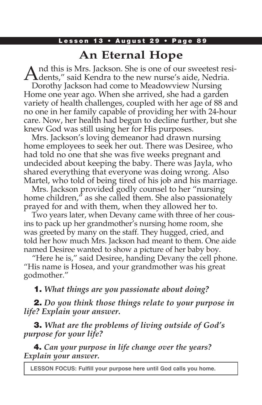### Lesson 13 · August 29 · Page 89

# **An Eternal Hope**

And this is Mrs. Jackson. She is one of our sweetest resi-<br>dents," said Kendra to the new nurse's aide, Nedria.

Dorothy Jackson had come to Meadowview Nursing Home one year ago. When she arrived, she had a garden variety of health challenges, coupled with her age of 88 and no one in her family capable of providing her with 24-hour care. Now, her health had begun to decline further, but she knew God was still using her for His purposes.

Mrs. Jackson's loving demeanor had drawn nursing home employees to seek her out. There was Desiree, who had told no one that she was five weeks pregnant and undecided about keeping the baby. There was Jayla, who shared everything that everyone was doing wrong. Also Martel, who told of being tired of his job and his marriage.

Mrs. Jackson provided godly counsel to her "nursing home children," as she called them. She also passionately prayed for and with them, when they allowed her to.

Two years later, when Devany came with three of her cousins to pack up her grandmother's nursing home room, she was greeted by many on the staff. They hugged, cried, and told her how much Mrs. Jackson had meant to them. One aide named Desiree wanted to show a picture of her baby boy.

 "Here he is," said Desiree, handing Devany the cell phone. "His name is Hosea, and your grandmother was his great godmother."

### 1. *What things are you passionate about doing?*

2. *Do you think those things relate to your purpose in life? Explain your answer.* 

3. *What are the problems of living outside of God's purpose for your life?*

4. *Can your purpose in life change over the years? Explain your answer.*

**LESSON FOCUS: Fulfill your purpose here until God calls you home.**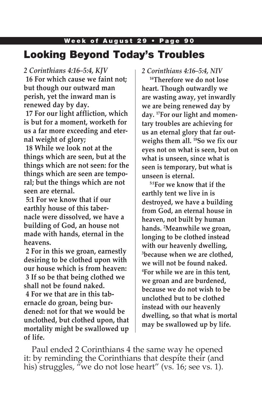# Week of August 29 • Page 90 Looking Beyond Today's Troubles

*2 Corinthians 4:16–5:4, KJV*

**16 For which cause we faint not; but though our outward man perish, yet the inward man is renewed day by day.**

**17 For our light affliction, which is but for a moment, worketh for us a far more exceeding and eternal weight of glory;**

**18 While we look not at the things which are seen, but at the things which are not seen: for the things which are seen are temporal; but the things which are not seen are eternal.**

**5:1 For we know that if our earthly house of this tabernacle were dissolved, we have a building of God, an house not made with hands, eternal in the heavens.**

**2 For in this we groan, earnestly desiring to be clothed upon with our house which is from heaven: 3 If so be that being clothed we shall not be found naked. 4 For we that are in this tabernacle do groan, being burdened: not for that we would be unclothed, but clothed upon, that mortality might be swallowed up of life.**

*2 Corinthians 4:16–5:4, NIV*

**16Therefore we do not lose heart. Though outwardly we are wasting away, yet inwardly we are being renewed day by day. 17For our light and momentary troubles are achieving for us an eternal glory that far outweighs them all. 18So we fix our eyes not on what is seen, but on what is unseen, since what is seen is temporary, but what is unseen is eternal.**

**5:1For we know that if the earthly tent we live in is destroyed, we have a building from God, an eternal house in heaven, not built by human hands. 2 Meanwhile we groan, longing to be clothed instead with our heavenly dwelling, 3 because when we are clothed, we will not be found naked. 4 For while we are in this tent, we groan and are burdened, because we do not wish to be unclothed but to be clothed instead with our heavenly dwelling, so that what is mortal may be swallowed up by life.** 

Paul ended 2 Corinthians 4 the same way he opened it: by reminding the Corinthians that despite their (and his) struggles, "we do not lose heart" (vs. 16; see vs. 1).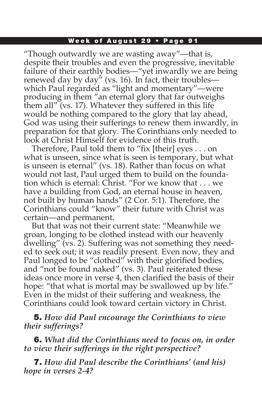#### Week of August 29 • Page 91

"Though outwardly we are wasting away"—that is, despite their troubles and even the progressive, inevitable failure of their earthly bodies—"yet inwardly we are being renewed day by day" (vs. 16). In fact, their troubles which Paul regarded as "light and momentary"—were producing in them "an eternal glory that far outweighs them all" (vs. 17). Whatever they suffered in this life would be nothing compared to the glory that lay ahead, God was using their sufferings to renew them inwardly, in preparation for that glory. The Corinthians only needed to look at Christ Himself for evidence of this truth.

Therefore, Paul told them to "fix [their] eyes . . . on what is unseen, since what is seen is temporary, but what is unseen is eternal" (vs. 18). Rather than focus on what would not last, Paul urged them to build on the foundation which is eternal: Christ. "For we know that . . . we have a building from God, an eternal house in heaven, not built by human hands" (2 Cor. 5:1). Therefore, the Corinthians could "know" their future with Christ was certain—and permanent.

But that was not their current state: "Meanwhile we groan, longing to be clothed instead with our heavenly dwelling" (vs. 2). Suffering was not something they needed to seek out; it was readily present. Even now, they and Paul longed to be "clothed" with their glorified bodies, and "not be found naked" (vs. 3). Paul reiterated these ideas once more in verse 4, then clarified the basis of their hope: "that what is mortal may be swallowed up by life." Even in the midst of their suffering and weakness, the Corinthians could look toward certain victory in Christ.

5. *How did Paul encourage the Corinthians to view their sufferings?* 

6. *What did the Corinthians need to focus on, in order to view their sufferings in the right perspective?* 

7. *How did Paul describe the Corinthians' (and his) hope in verses 2-4?*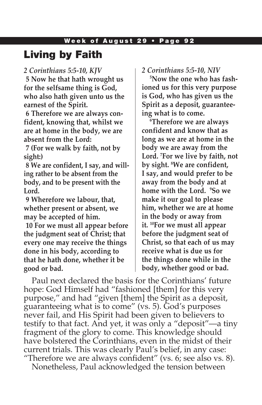#### Week of August 29 • Page 92

## Living by Faith

#### *2 Corinthians 5:5-10, KJV*

**5 Now he that hath wrought us for the selfsame thing is God, who also hath given unto us the earnest of the Spirit.**

**6 Therefore we are always confident, knowing that, whilst we are at home in the body, we are absent from the Lord:**

**7 (For we walk by faith, not by sight:)**

**8 We are confident, I say, and willing rather to be absent from the body, and to be present with the Lord.**

**9 Wherefore we labour, that, whether present or absent, we may be accepted of him.**

**10 For we must all appear before the judgment seat of Christ; that every one may receive the things done in his body, according to that he hath done, whether it be good or bad.**

### *2 Corinthians 5:5-10, NIV*

**5 Now the one who has fashioned us for this very purpose is God, who has given us the Spirit as a deposit, guaranteeing what is to come.** 

**6 Therefore we are always confident and know that as long as we are at home in the body we are away from the Lord. 7 For we live by faith, not by sight. 8 We are confident, I say, and would prefer to be away from the body and at home with the Lord. 9 So we make it our goal to please him, whether we are at home in the body or away from it. 10For we must all appear before the judgment seat of Christ, so that each of us may receive what is due us for the things done while in the body, whether good or bad.**

Paul next declared the basis for the Corinthians' future hope: God Himself had "fashioned [them] for this very purpose," and had "given [them] the Spirit as a deposit, guaranteeing what is to come" (vs. 5). God's purposes never fail, and His Spirit had been given to believers to testify to that fact. And yet, it was only a "deposit"—a tiny fragment of the glory to come. This knowledge should have bolstered the Corinthians, even in the midst of their current trials. This was clearly Paul's belief, in any case: "Therefore we are always confident" (vs. 6; see also vs. 8).

Nonetheless, Paul acknowledged the tension between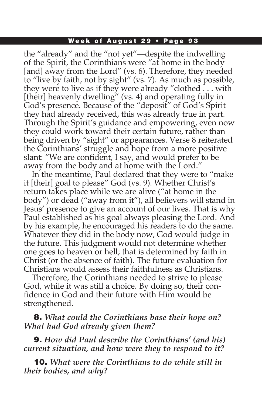#### Week of August 29 • Page 93

the "already" and the "not yet"—despite the indwelling of the Spirit, the Corinthians were "at home in the body [and] away from the Lord" (vs. 6). Therefore, they needed to "live by faith, not by sight" (vs. 7). As much as possible, they were to live as if they were already "clothed . . . with [their] heavenly dwelling" (vs. 4) and operating fully in God's presence. Because of the "deposit" of God's Spirit they had already received, this was already true in part. Through the Spirit's guidance and empowering, even now they could work toward their certain future, rather than being driven by "sight" or appearances. Verse 8 reiterated the Corinthians' struggle and hope from a more positive slant: "We are confident, I say, and would prefer to be away from the body and at home with the Lord."

In the meantime, Paul declared that they were to "make it [their] goal to please" God (vs. 9). Whether Christ's return takes place while we are alive ("at home in the body") or dead ("away from it"), all believers will stand in Jesus' presence to give an account of our lives. That is why Paul established as his goal always pleasing the Lord. And by his example, he encouraged his readers to do the same. Whatever they did in the body now, God would judge in the future. This judgment would not determine whether one goes to heaven or hell; that is determined by faith in Christ (or the absence of faith). The future evaluation for Christians would assess their faithfulness as Christians.

Therefore, the Corinthians needed to strive to please God, while it was still a choice. By doing so, their confidence in God and their future with Him would be strengthened.

### 8. *What could the Corinthians base their hope on? What had God already given them?*

9. *How did Paul describe the Corinthians' (and his) current situation, and how were they to respond to it?*

10. *What were the Corinthians to do while still in their bodies, and why?*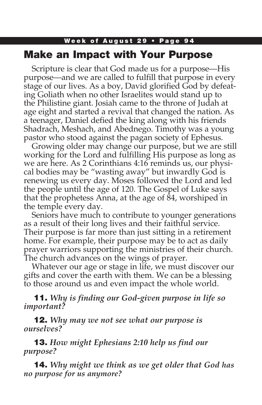## Week of August 29 • Page 94 Make an Impact with Your Purpose

Scripture is clear that God made us for a purpose—His purpose—and we are called to fulfill that purpose in every stage of our lives. As a boy, David glorified God by defeating Goliath when no other Israelites would stand up to the Philistine giant. Josiah came to the throne of Judah at age eight and started a revival that changed the nation. As a teenager, Daniel defied the king along with his friends Shadrach, Meshach, and Abednego. Timothy was a young pastor who stood against the pagan society of Ephesus.

Growing older may change our purpose, but we are still working for the Lord and fulfilling His purpose as long as we are here. As 2 Corinthians 4:16 reminds us, our physical bodies may be "wasting away" but inwardly God is renewing us every day. Moses followed the Lord and led the people until the age of 120. The Gospel of Luke says that the prophetess Anna, at the age of 84, worshiped in the temple every day.

Seniors have much to contribute to younger generations as a result of their long lives and their faithful service. Their purpose is far more than just sitting in a retirement home. For example, their purpose may be to act as daily prayer warriors supporting the ministries of their church. The church advances on the wings of prayer.

Whatever our age or stage in life, we must discover our gifts and cover the earth with them. We can be a blessing to those around us and even impact the whole world.

11. *Why is finding our God-given purpose in life so important?*

12. *Why may we not see what our purpose is ourselves?*

13. *How might Ephesians 2:10 help us find our purpose?*

14. *Why might we think as we get older that God has no purpose for us anymore?*